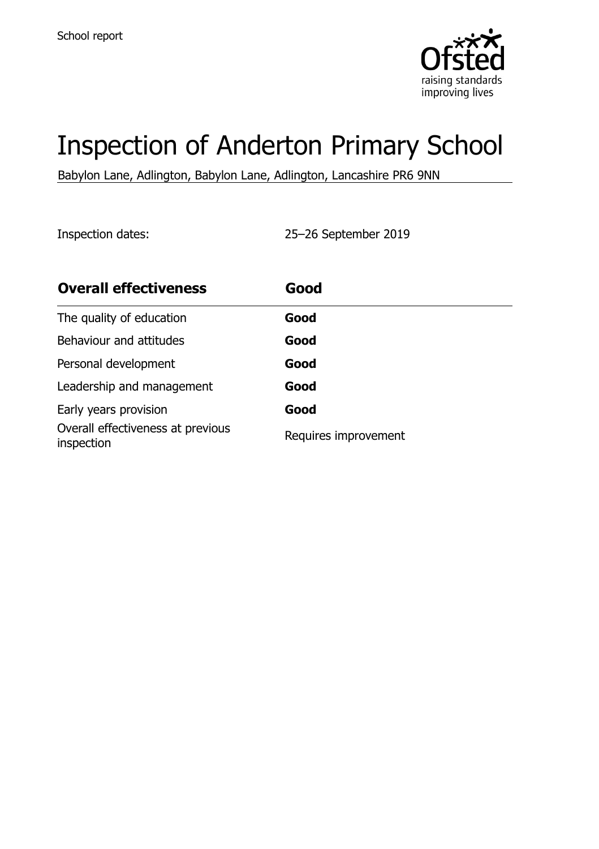

# Inspection of Anderton Primary School

Babylon Lane, Adlington, Babylon Lane, Adlington, Lancashire PR6 9NN

Inspection dates: 25–26 September 2019

| <b>Overall effectiveness</b>                    | Good                 |
|-------------------------------------------------|----------------------|
| The quality of education                        | Good                 |
| Behaviour and attitudes                         | Good                 |
| Personal development                            | Good                 |
| Leadership and management                       | Good                 |
| Early years provision                           | Good                 |
| Overall effectiveness at previous<br>inspection | Requires improvement |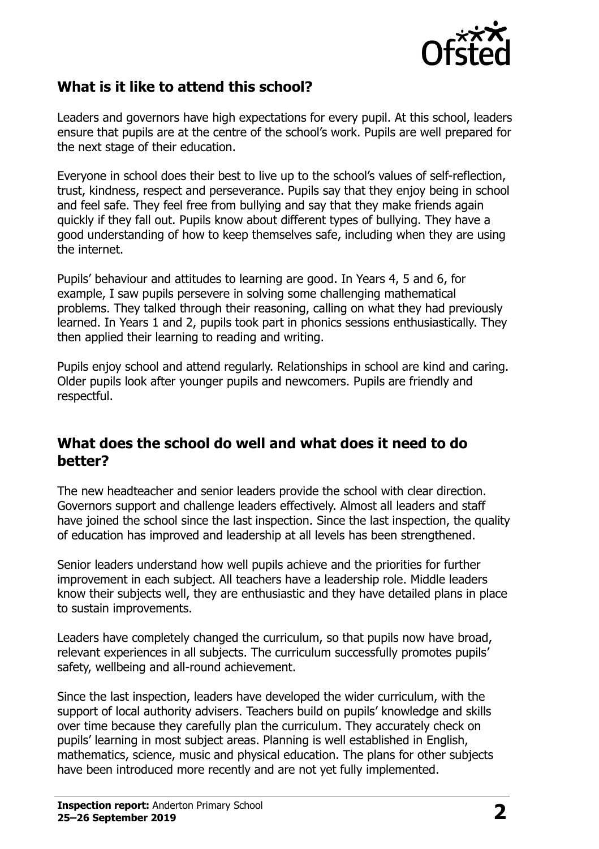

### **What is it like to attend this school?**

Leaders and governors have high expectations for every pupil. At this school, leaders ensure that pupils are at the centre of the school's work. Pupils are well prepared for the next stage of their education.

Everyone in school does their best to live up to the school's values of self-reflection, trust, kindness, respect and perseverance. Pupils say that they enjoy being in school and feel safe. They feel free from bullying and say that they make friends again quickly if they fall out. Pupils know about different types of bullying. They have a good understanding of how to keep themselves safe, including when they are using the internet.

Pupils' behaviour and attitudes to learning are good. In Years 4, 5 and 6, for example, I saw pupils persevere in solving some challenging mathematical problems. They talked through their reasoning, calling on what they had previously learned. In Years 1 and 2, pupils took part in phonics sessions enthusiastically. They then applied their learning to reading and writing.

Pupils enjoy school and attend regularly. Relationships in school are kind and caring. Older pupils look after younger pupils and newcomers. Pupils are friendly and respectful.

#### **What does the school do well and what does it need to do better?**

The new headteacher and senior leaders provide the school with clear direction. Governors support and challenge leaders effectively. Almost all leaders and staff have joined the school since the last inspection. Since the last inspection, the quality of education has improved and leadership at all levels has been strengthened.

Senior leaders understand how well pupils achieve and the priorities for further improvement in each subject. All teachers have a leadership role. Middle leaders know their subjects well, they are enthusiastic and they have detailed plans in place to sustain improvements.

Leaders have completely changed the curriculum, so that pupils now have broad, relevant experiences in all subjects. The curriculum successfully promotes pupils' safety, wellbeing and all-round achievement.

Since the last inspection, leaders have developed the wider curriculum, with the support of local authority advisers. Teachers build on pupils' knowledge and skills over time because they carefully plan the curriculum. They accurately check on pupils' learning in most subject areas. Planning is well established in English, mathematics, science, music and physical education. The plans for other subjects have been introduced more recently and are not yet fully implemented.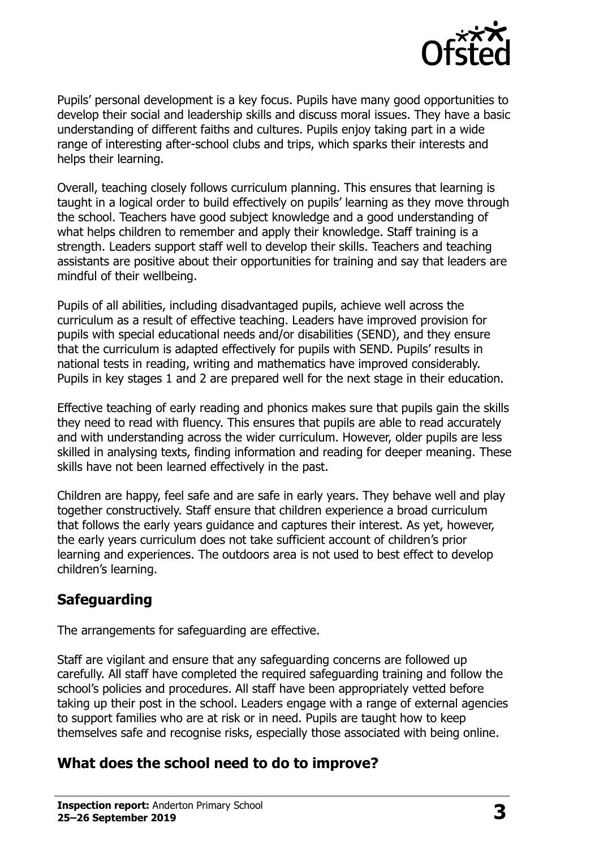

Pupils' personal development is a key focus. Pupils have many good opportunities to develop their social and leadership skills and discuss moral issues. They have a basic understanding of different faiths and cultures. Pupils enjoy taking part in a wide range of interesting after-school clubs and trips, which sparks their interests and helps their learning.

Overall, teaching closely follows curriculum planning. This ensures that learning is taught in a logical order to build effectively on pupils' learning as they move through the school. Teachers have good subject knowledge and a good understanding of what helps children to remember and apply their knowledge. Staff training is a strength. Leaders support staff well to develop their skills. Teachers and teaching assistants are positive about their opportunities for training and say that leaders are mindful of their wellbeing.

Pupils of all abilities, including disadvantaged pupils, achieve well across the curriculum as a result of effective teaching. Leaders have improved provision for pupils with special educational needs and/or disabilities (SEND), and they ensure that the curriculum is adapted effectively for pupils with SEND. Pupils' results in national tests in reading, writing and mathematics have improved considerably. Pupils in key stages 1 and 2 are prepared well for the next stage in their education.

Effective teaching of early reading and phonics makes sure that pupils gain the skills they need to read with fluency. This ensures that pupils are able to read accurately and with understanding across the wider curriculum. However, older pupils are less skilled in analysing texts, finding information and reading for deeper meaning. These skills have not been learned effectively in the past.

Children are happy, feel safe and are safe in early years. They behave well and play together constructively. Staff ensure that children experience a broad curriculum that follows the early years guidance and captures their interest. As yet, however, the early years curriculum does not take sufficient account of children's prior learning and experiences. The outdoors area is not used to best effect to develop children's learning.

# **Safeguarding**

The arrangements for safeguarding are effective.

Staff are vigilant and ensure that any safeguarding concerns are followed up carefully. All staff have completed the required safeguarding training and follow the school's policies and procedures. All staff have been appropriately vetted before taking up their post in the school. Leaders engage with a range of external agencies to support families who are at risk or in need. Pupils are taught how to keep themselves safe and recognise risks, especially those associated with being online.

#### **What does the school need to do to improve?**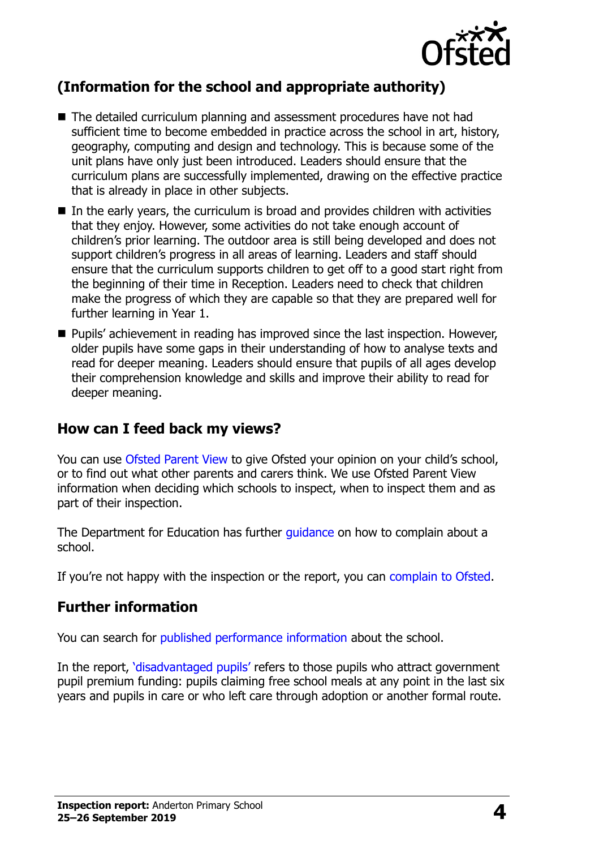

# **(Information for the school and appropriate authority)**

- The detailed curriculum planning and assessment procedures have not had sufficient time to become embedded in practice across the school in art, history, geography, computing and design and technology. This is because some of the unit plans have only just been introduced. Leaders should ensure that the curriculum plans are successfully implemented, drawing on the effective practice that is already in place in other subjects.
- $\blacksquare$  In the early years, the curriculum is broad and provides children with activities that they enjoy. However, some activities do not take enough account of children's prior learning. The outdoor area is still being developed and does not support children's progress in all areas of learning. Leaders and staff should ensure that the curriculum supports children to get off to a good start right from the beginning of their time in Reception. Leaders need to check that children make the progress of which they are capable so that they are prepared well for further learning in Year 1.
- Pupils' achievement in reading has improved since the last inspection. However, older pupils have some gaps in their understanding of how to analyse texts and read for deeper meaning. Leaders should ensure that pupils of all ages develop their comprehension knowledge and skills and improve their ability to read for deeper meaning.

### **How can I feed back my views?**

You can use [Ofsted Parent View](http://parentview.ofsted.gov.uk/) to give Ofsted your opinion on your child's school, or to find out what other parents and carers think. We use Ofsted Parent View information when deciding which schools to inspect, when to inspect them and as part of their inspection.

The Department for Education has further quidance on how to complain about a school.

If you're not happy with the inspection or the report, you can [complain to Ofsted.](http://www.gov.uk/complain-ofsted-report)

#### **Further information**

You can search for [published performance information](http://www.compare-school-performance.service.gov.uk/) about the school.

In the report, '[disadvantaged pupils](http://www.gov.uk/guidance/pupil-premium-information-for-schools-and-alternative-provision-settings)' refers to those pupils who attract government pupil premium funding: pupils claiming free school meals at any point in the last six years and pupils in care or who left care through adoption or another formal route.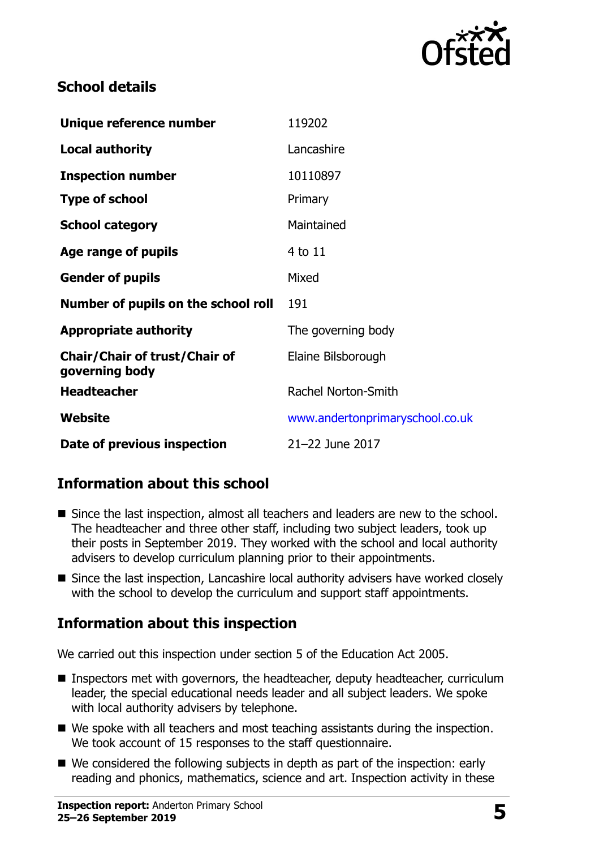

## **School details**

| Unique reference number                                | 119202                          |  |
|--------------------------------------------------------|---------------------------------|--|
| <b>Local authority</b>                                 | Lancashire                      |  |
| <b>Inspection number</b>                               | 10110897                        |  |
| <b>Type of school</b>                                  | Primary                         |  |
| <b>School category</b>                                 | Maintained                      |  |
| Age range of pupils                                    | 4 to 11                         |  |
| <b>Gender of pupils</b>                                | Mixed                           |  |
| Number of pupils on the school roll                    | 191                             |  |
| <b>Appropriate authority</b>                           | The governing body              |  |
| <b>Chair/Chair of trust/Chair of</b><br>governing body | Elaine Bilsborough              |  |
| <b>Headteacher</b>                                     | Rachel Norton-Smith             |  |
| Website                                                | www.andertonprimaryschool.co.uk |  |
| Date of previous inspection                            | 21-22 June 2017                 |  |

# **Information about this school**

- Since the last inspection, almost all teachers and leaders are new to the school. The headteacher and three other staff, including two subject leaders, took up their posts in September 2019. They worked with the school and local authority advisers to develop curriculum planning prior to their appointments.
- Since the last inspection, Lancashire local authority advisers have worked closely with the school to develop the curriculum and support staff appointments.

#### **Information about this inspection**

We carried out this inspection under section 5 of the Education Act 2005.

- Inspectors met with governors, the headteacher, deputy headteacher, curriculum leader, the special educational needs leader and all subject leaders. We spoke with local authority advisers by telephone.
- We spoke with all teachers and most teaching assistants during the inspection. We took account of 15 responses to the staff questionnaire.
- We considered the following subjects in depth as part of the inspection: early reading and phonics, mathematics, science and art. Inspection activity in these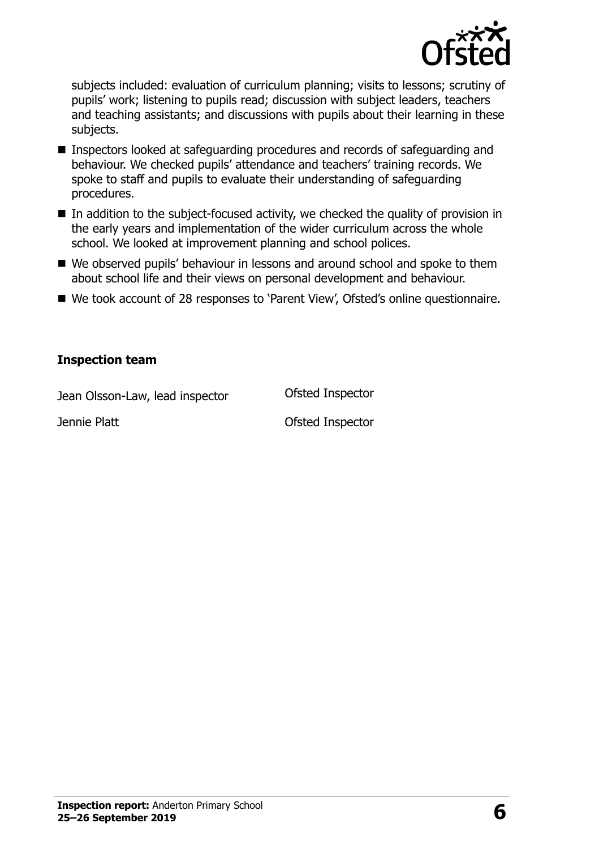

subjects included: evaluation of curriculum planning; visits to lessons; scrutiny of pupils' work; listening to pupils read; discussion with subject leaders, teachers and teaching assistants; and discussions with pupils about their learning in these subjects.

- Inspectors looked at safeguarding procedures and records of safeguarding and behaviour. We checked pupils' attendance and teachers' training records. We spoke to staff and pupils to evaluate their understanding of safeguarding procedures.
- In addition to the subject-focused activity, we checked the quality of provision in the early years and implementation of the wider curriculum across the whole school. We looked at improvement planning and school polices.
- We observed pupils' behaviour in lessons and around school and spoke to them about school life and their views on personal development and behaviour.
- We took account of 28 responses to 'Parent View', Ofsted's online questionnaire.

#### **Inspection team**

| Jean Olsson-Law, lead inspector | Ofsted Inspector |
|---------------------------------|------------------|
| Jennie Platt                    | Ofsted Inspector |